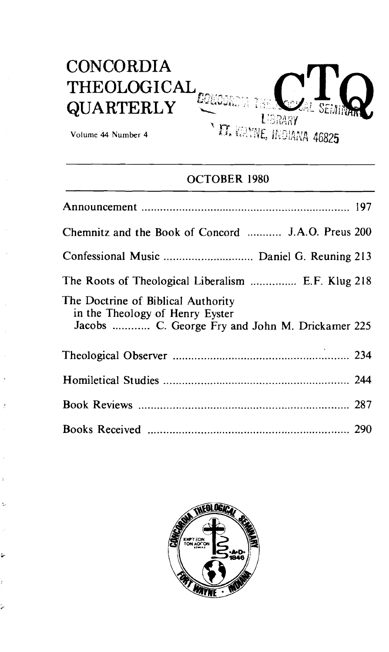# **CONCORDIA** THEOLOGICAL **QUARTERLY LERARY**

Volume 44 **Number 4** 

Ž,

۶

ر<br>شي

**IT. WAYNE, INDIANA 46825** 

### OCTOBER 1980

| Chemnitz and the Book of Concord  J.A.O. Preus 200                                                                       |
|--------------------------------------------------------------------------------------------------------------------------|
|                                                                                                                          |
| The Roots of Theological Liberalism  E.F. Klug 218                                                                       |
| The Doctrine of Biblical Authority<br>in the Theology of Henry Eyster<br>Jacobs  C. George Fry and John M. Drickamer 225 |
|                                                                                                                          |
|                                                                                                                          |
|                                                                                                                          |
|                                                                                                                          |

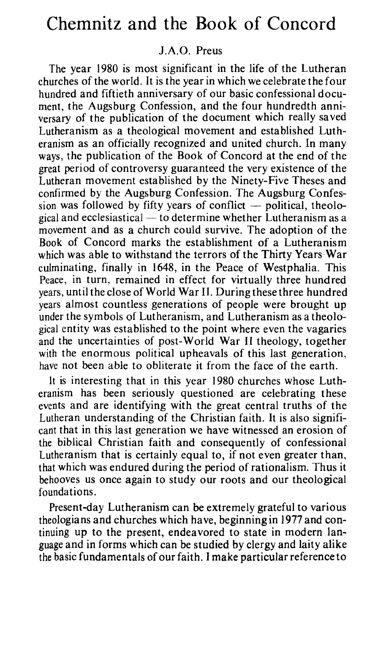## Chemnitz and the Book of Concord

#### J.A.O. Preus

The year 1980 is most significant in the life of the Lutheran churches of the world. It is the year in which we celebrate the four hundred and fiftieth anniversary of our basic confessional document, the Augsburg Confession, and the four hundredth anniversary of the publication of the document which really saved Lutheranism as a theological movement and established Lutheranism as an officially recognized and united church. In many ways, the publication of the Book of Concord at the end of the great period of controversy guaranteed the very existence of the Lutheran movement established by the Ninety-Five Theses and confirmed by the Augsburg Confession. The Augsburg Confes-Lutheran movement established by the Ninety-Five Theses and<br>confirmed by the Augsburg Confession. The Augsburg Confes-<br>sion was followed by fifty years of conflict -- political, theolo-<br>sixed and esclosiation. In a determi sion was followed by fifty years of conflict  $-$  political, theological and ecclesiastical  $-$  to determine whether Lutheranism as a movement and as a church could survive. The adoption of the Book of Concord marks the establishment of a Lutheranism which was able to withstand the terrors of the Thirty Years War culminating, finally in 1648, in the Peace of Westphalia. This Peace, in turn, remained in effect for virtually three hundred years, until the close of World War **11.** During these three hundred years almost countless generations of people were brought up under the symbols of Lutheranism, and Lutheranism as a theological entity was established to the point where even the vagaries and the uncertainties of post-World War II theology, together with the enormous political upheavals of this last generation, have not been able to obliterate it from the face of the earth.

1t is interesting that in this year 1980 churches whose Lutheranism has been seriously questioned are celebrating these events and are identifying with the great central truths of the Lutheran understanding of the Christian faith. It is also significant that in this last generation we have witnessed an erosion of the biblical Christian faith and consequently of confessional Lutheranism that is certainly equal to, if not even greater than, that which was endured during the period of rationalism. Thus it behooves us once again to study our roots and our theological foundations.

Present-day Lutheranism can be extremely grateful to various theologians and churches which have, beginning in 1977 and continuing up to the present, endeavored to state in modern language and in forms which can be studied by clergy and laity alike the basic fundamentals of our faith. I make particular reference to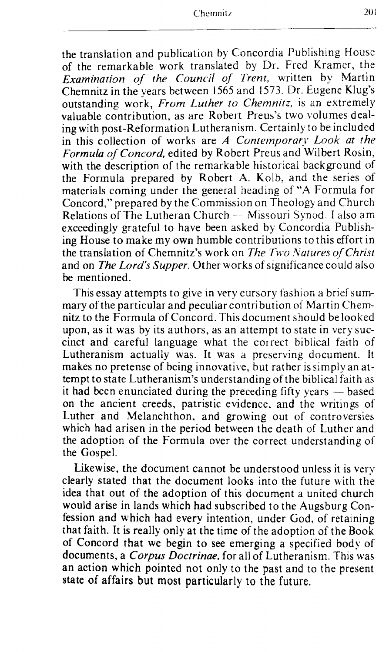the translation and publication by Concordia Publishing House of the remarkable work translated by Dr. Fred Kramer, the *Examination of the Council of Trent,* written by Martin Chemnitz in the years between 1565 and 1573. Dr. Eugene Klug's outstanding work, *From Luther to Chemnirz,* is an extremely valuable contribution, as are Robert Preus's two volumes dealing with post-Reformation Lutheranism. Certainly to be included in this collection of works are A Contemporary Look at the *Formula of Concord,* edited by Robert Preus and Wilbert Rosin, with the description of the remarkable historical background of the Formula prepared by Robert A. Kolb, and the series of materials coming under the general heading of "A Formula for Concord," prepared by the Commission on Theology and Church Relations of The Lutheran Church - Missouri Synod. I also am exceedingly grateful to have been asked by Concordia Publishing House to make my own humble contributions to this effort in the translation of Chemnitz's work on *The Two Natures of Christ* and on *The Lord's Supper.* Other works of significance could also be mentioned.

This essay attempts to give in very cursory fashion a brief summary of the particular and peculiar contribution of Martin Chemnitz to the Formula of Concord. This document should be looked upon, as it was by its authors, as an attempt to state in very succinct and careful language what the correct biblical faith of Lutheranism actually was. It was a preserving document. It makes no pretense of being innovative, but rather is simply an attempt to state Lutheranism's understanding of the biblical faith as it had been enunciated during the preceding fifty years  $-$  based on the ancient creeds, patristic evidence. and the writings of' Luther and Melanchthon, and growing out of controversies which had arisen in the period between the death of Luther and the adoption of the Formula over the correct understanding of the Gospel.

Likewise, the document cannot be understood unless it is very clearly stated that the document looks into the future with the idea that out of the adoption of this document a united church would arise in lands which had subscribed to the Augsburg Confession and which had every intention, under God, of retaining that faith. It is reaIIy only at the time of the adoption of the Book of Concord that we begin to see emerging a specified body of documents, a Corpus *Doctrinae,* for all of Lutheranism. This was an action which pointed not only to the past and to the present state of affairs but most particularly to the future.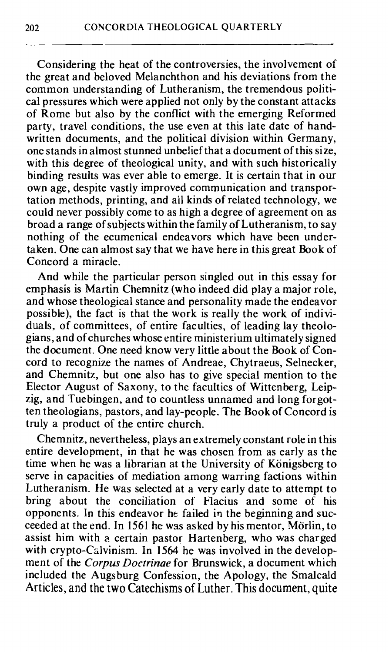Considering the heat of the controversies, the involvement of the great and beloved Melanchthon and his deviations from the common understanding of Lutheranism, the tremendous political pressures which were applied not only by the constant attacks of Rome but also by the conflict with the emerging Reformed party, travel conditions, the use even at this late date of handwritten documents, and the political division within Germany, one stands in almost stunned unbelief that a document of this size, with this degree of theological unity, and with such historically binding results was ever able to emerge. It is certain that in our own age, despite vastly improved communication and transportation methods, printing, and all kinds of related technology, we could never possibly come to as high a degree of agreement on as broad a range of subjects within the family of Lutheranism, to say nothing of the ecumenical endeavors which have been undertaken. One can almost say that we have here in this great Book of Concord a miracle.

And while the particular person singled out in this essay for emphasis is Martin Chemnitz (who indeed did play a major role, and whose theological stance and personality made the endeavor possible), the fact is that the work is really the work of individuals, of committees, of entire faculties, of leading lay theologians, and of churches whose entire ministerium ultimately signed the document. One need know very little about the Book of Concord to recognize the names of Andreae, Chytraeus, Selnecker, and Chemnitz, but one also has to give special mention to the Elector August of Saxony, to the faculties of Wittenberg, Leipzig, and Tuebingen, and to countless unnamed and long forgotten theologians, pastors, and lay-people. The Book of Concord is truly a product of the entire church.

Chemnitz, nevertheless, plays an extremely constant role in this entire development, in that he was chosen from as early as the time when he was a librarian at the University of Königsberg to serve in capacities of mediation among warring factions within Lutheranism. He was selected at a very early date to attempt to bring about the conciliation of Flacius and some of his opponents. In this endeavor he failed in the beginning and succeeded at the end. In 1561 he was asked by his mentor, Mörlin, to assist him with a certain pastor Hartenberg, who was charged with crypto-Calvinism. In 1564 he was involved in the development of the *Corpus Doctrinae* for Brunswick, a document which included the Augsburg Confession, the Apology, the Smalcald Articles, and the two Catechisms of Luther. This document, quite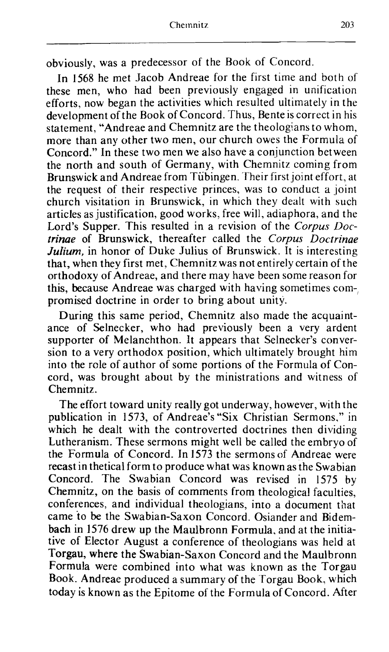obviously, was a predecessor of the Book of Concord.

In 1568 he met Jacob Andreae for the first time and both of these men, who had been previously engaged in unification efforts, now began the activities which resulted ultimately in the development of the Book of Concord. Thus, Bente is correct in his statement, "Andreae and Chemnitz are the theologians to whom, more than any other two men, our church owes the Formula of Concord." In these two men we also have a conjunction between the north and south of Germany, with Chemnitz coming from Brunswick and Andreae from Tiibingen. Their first joint effort, at the request of their respective princes, was to conduct a joint church visitation in Brunswick, in which they dealt with such articles as justification, good works, free will, adiaphora, and the Lord's Supper. This resulted in a revision of the Corpus Doc*trinae* of Brunswick, thereafter called the Corpus Doctrinae *Julium*, in honor of Duke Julius of Brunswick. It is interesting that, when they first met, Chemnitz was not entirely certain of the orthodoxy of Andreae, and there may have been some reason for this, because Andreae was charged with having sometimes compromised doctrine in order to bring about unity.

During this same period, Chemnitz also made the acquaintance of Selnecker, who had previously been a very ardent supporter of Melanchthon. It appears that Selnecker's conversion to a very orthodox position, which ultimately brought him into the role of author of some portions of the Formula of Concord, was brought about by the ministrations and witness of Chemnitz.

The effort toward unity really got underway, however, with the publication in 1573, of Andreae's "Six Christian Sermons," in which he dealt with the controverted doctrines then dividing Lutheranism. These sermons might well be called the embryo of the Formula of Concord. In 1573 the sermonsof Andreae were recast in thetical form to produce what was known as the Swabian Concord. The Swabian Concord was revised in 1575 by Chemnitz, on the basis of comments from theological faculties, conferences, and individual theologians, into a document that came to be the Swabian-Saxon Concord. Osiander and Bidem**bach** in 1576 drew up the Maulbronn Formula. and at the initiative of Elector August a conference of theologians was held at Torgau, where the Swabian-Saxon Concord and the Maulbronn Formula were combined into what was known as the Torgau Book. Andreae produced a summary of the Torgau Book, which today is known as the Epitome of the Formula of Concord. After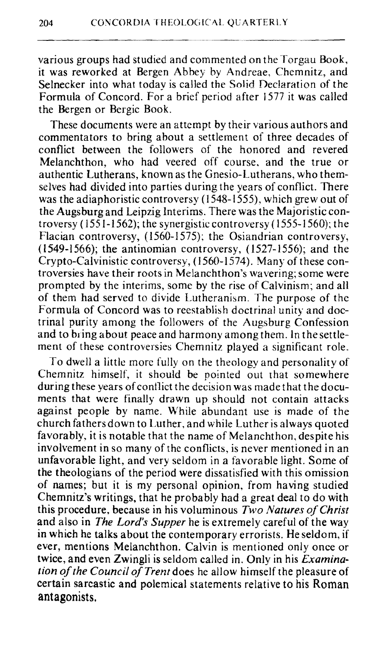various groups had studied and commented on the Torgau Book, it was reworked at Bergen Abbey by Andreae, Chemnitz, and Selnecker into what today is called the Solid Declaration of the Formula of Concord. For a brief period after 1577 it was called the Bergen or Bergic Book.

These documents were an attempt by their various authors and commentators to bring about a settlement of three decades of conflict between the followers of the honored and revered Melanchthon, who had veered off course, and the true or authentic Lutherans, known as the Gnesio-Lutherans, who themselves had divided into parties during the years of conflict. There was the adiaphoristic controversy (1548-1555), which grew out of the Augsburg and Leipzig Interims. There was the Majoristic controversy  $(1551-1562)$ ; the synergistic controversy  $(1555-1560)$ ; the Flacian controversy, (1560-1575); the Osiandrian controversy, (1 549-1 566); the antinomian controversy, (1527- 1556); and the Crypto-Calvinistic controversy, (1560-1574). Many of these controversies have their roots in Melanchthon's wavering; some were prompted by the interims, some by the rise of Calvinism; and all of them had served to divide Lutheranism. The purpose of the Formula of Concord was to reestablish doctrinal unity and doctrinal purity among the followers of the Augsburg Confession and to bring about peace and harmony among them. In thesettlement of these controversies Chemnitz played a significant role.

To dwell a little more fully on the theology and personality of Chemnitz himself, it should be pointed out that somewhere during these years of conflict the decision was made that the documents that were finally drawn up should not contain attacks against people by name. While abundant use is made of the church fathersdown to Luther, and while Luther is always quoted favorably, it is notable that the name of Melanchthon, despite his involvement in so many of the conflicts, is never mentioned in an unfavorable light, and very seldom in a favorable light. Some of the theologians of the period were dissatisfied with this omission of names; but it is my personal opinion, from having studied Chemnitz's writings, that he probably had a great deal to do with this procedure. because in his voluminous *Two Natures of Christ*  and also in *The Lord's Supper* he is extremely careful of the way in which he talks about the contemporary errorists. He seldom, if ever, mentions Melanchthon. Calvin is mentioned only once or twice, and even Zwingli is seldom called in. Only in his **Examination** of *the* **Council** *of Trent* does he allow himself the pleasure of certain sarcastic and polemical statements relative to his Roman **antagonists.**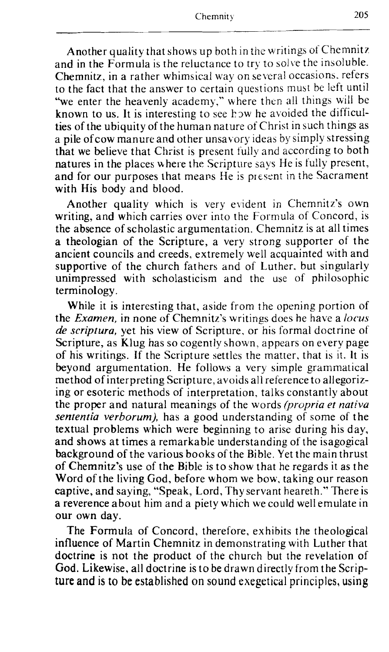--

Another quality that shows up both in the writings of Chemnitz and in the Formula is the reluctance to try to solve the insoluble. Chemnitz, in a rather whimsical way on several occasions, refers to the fact that the answer to certain questions must be left until "we enter the heavenly academy," where then all things will be known to us. It is interesting to see how he avoided the difficulties of the ubiquity of the human nature of Christ in such things as a pile ofcow manure and other unsavory ideas by simply stressing that we believe that Christ is present fully and according to both natures in the places where the Scripture says He is fully present, and for our purposes that means He is present in the Sacrament with His body and blood.

Another quality which is very evident in Chemnitz's own writing, and which carries over into the Formula of Concord, is the absence of scholastic argumentation. Chemnitz is at all times a theologian of the Scripture, a very strong supporter of the ancient councils and creeds, extremely well acquainted with and supportive of the church fathers and of Luther, but singularly unimpressed with scholasticism and the use of philosophic terminology.

While it is interesting that, aside from the opening portion of the *Examen*, in none of Chemnitz's writings does he have a locus *de scriptura,* yet his view of Scripture, or his formal doctrine of Scripture, as Klug has so cogently shown, appears on every page of his writings. If the Scripture settles the matter, that is it. It is beyond argumentation. He follows a very simple grammatical method of interpreting Scripture, avoids all reference to allegorizing or esoteric methods of interpretation, talks constantly about the proper and natural meanings of the words *(propria et nativa*) *sententia verborurn),* has a good understanding of some of the textual problems which were beginning to arise during his day, and shows at times a remarkable understanding of the isagogical background of the various books of the Bible. Yet the main thrust of Chernnitz's use of the Bible is to show that he regards it as the Word of the living God, before whom we bow, taking our reason captive, and saying, "Speak, Lord, Thy servant heareth." There is a reverence about him and a piety which we could we11 emulate in our own day.

The Formula of Concord, therefore, exhibits the theological influence of Martin Chemnitz in demonstrating with Luther that doctrine is not the product of the church but the revelation of God. Likewise, all doctrine is to be drawn directly from the Scrip**ture** and is **to be established on sound exegetical principles,** using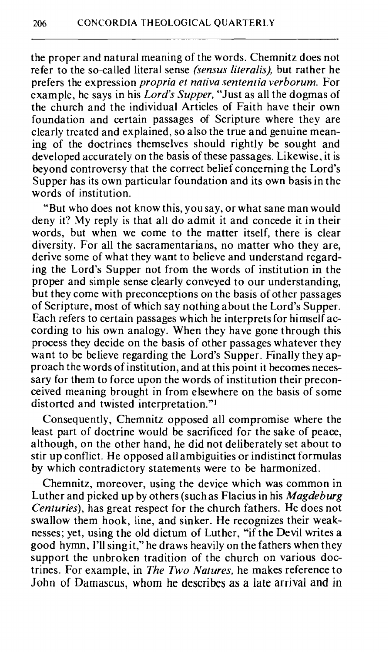the proper and natural meaning of the words. Chemnitz does not refer to the so-called literal sense *(sensus literalis),* but rather he prefers the expression *propria et nntiva sententia verborurn.* For example, he says in his *Lord's Supper,* "Just as all the dogmas of the church and the individual Articles of Faith have their own foundation and certain passages of Scripture where they are clearly treated and explained, so also the true and genuine meaning of the doctrines themselves should rightly be sought and developed accurately on the basis of these passages. Likewise, it is beyond controversy that the correct belief concerning the Lord's Supper has its own particular foundation and its own basis in the words of institution.

"But who does not know this, you say, or what sane man would deny it? My reply is that all do admit it and concede it in their words, but when we come to the matter itself, there is clear diversity. For all the sacramentarians, no matter who they are, derive some of what they want to believe and understand regarding the Lord's Supper not from the words of institution in the proper and simple sense clearly conveyed to our understanding, but they come with preconceptions on the basis of other passages of Scripture, most of which say nothing about the Lord's Supper. Each refers to certain passages which he interprets for himself according to his own analogy. When they have gone through this process they decide on the basis of other passages whatever they want to be believe regarding the Lord's Supper. Finally they approach the words of institution, and at this point it becomes necessary for them to force upon the words of institution their preconceived meaning brought in from elsewhere on the basis of some distorted and twisted interpretation."'

Consequently, Chemnitz opposed all compromise where the least part of doctrine would be sacrificed for the sake of peace, although, on the other hand, he did not deliberately set about to stir up conflict. He opposed all ambiguities or indistinct formulas by which contradictory statements were to be harmonized.

Chemnitz, moreover, using the device which was common in Luther and picked up by others (such as Flacius in his *Magdeburg Centuries),* has great respect for the church fathers. He does not swallow them hook, line, and sinker. He recognizes their weaknesses; yet, using the old dictum of Luther, "if the Devil writes a good hymn, I'll sing it,'' he draws heavily on the fathers when they support the unbroken tradition of the church on various doctrines. For example, in *The Two Natures,* he makes reference to John of **Damascus, whom he describes as a late arrival and in**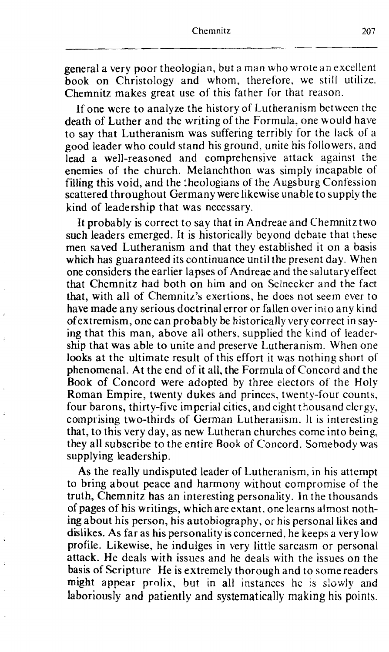general a very poor theologian, but a man who wrote an excellent book on Christology and whom, therefore, we still utilize. Chemnitz makes great use of this father for that reason.

If one were to analyze the history of Lutheranism between the death of Luther and the writing of the Formula, one xvould have to say that Lutheranism was suffering terribly for the lack of a good leader who could stand his ground, unite his followers, and lead a well-reasoned and comprehensive attack against the enemies of the church. Melanchthon was simply incapable of filling this void, and the :heologians of the Augsburg Confession scattered throughout Germany were likewise unable to supply the kind of leadership that was necessary.

It probably is correct to say that in Andreae and Chernnitz two such leaders emerged. It is historically beyond debate that these men saved Lutheranism and that they established it on a basis which has guaranteed its continuance until the present day. When one considers the earlier lapses of Andreae and the salutary effect that Chemnitz had both on him and on Selnecker and the fact that, with all of Chemnitz's exertions, he does not seem ever to have made any serious doctrinal error or fallen over into any kind ofextremism, one can probably be historically verycorrect in saying that this man, above all others, supplied the kind of leadership that was able to unite and preserve Lutheranism. When one looks at the ultimate result of this effort it was nothing short of phenomenal. At the end of it all, the Formula of Concord and the Book of Concord were adopted by three electors of the Holy Roman Empire, twenty dukes and princes, twenty-four counts, four barons, thirty-five imperial cities, and eight thousand clergy, comprising two-thirds of German Lutheranism. It is interesting that, to this very day, as new Lutheran churches come into being, they all subscribe to the entire Book of Concord. Somebody was supplying leadership.

As the really undisputed leader of Lutheranism. in his attempt to bring about peace and harmony without compromise of the truth, Chemnitz has an interesting personality. In the thousands of pages of his writings, which are extant, one learns almost nothing about his person, his autobiography, or his personal likes and dislikes. As far as his personality is concerned, he keeps a very low profile. Likewise, he indulges in very little sarcasm or personal attack. He deals with issues and he deals with the issues on the basis of Scripture He is extremely thorough and to some readers might appear prolix, but in all instances hc is siowly and laboriously and patiently and systematically making his points.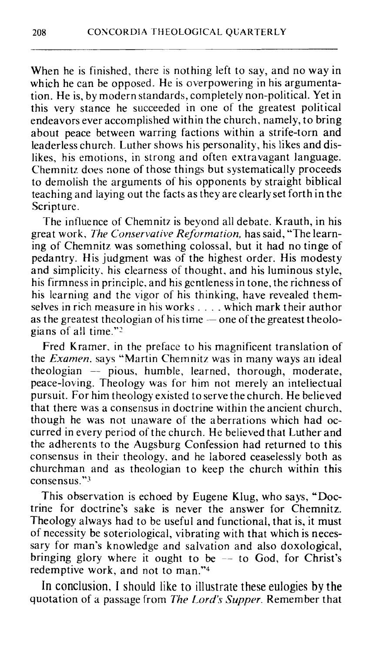When he is finished, there is nothing left to say, and no way in which he can be opposed. He is overpowering in his argumentation. He is, by modern standards, completely non-political. Yet in this very stance he succeeded in one of the greatest political endeavors ever accomplished within the church. namely, to bring about peace between warring factions within a strife-torn and leaderless church. Luther shows his personality, his likes and dislikes, his emotions, in strong and often extravagant language. Chemnitz does none of those things but systematically proceeds to demolish the arguments of his opponents by straight biblical teaching and laying out the facts as they are clearly set forth in the Scripture.

The influence of Chemnitz is beyond all debate. Krauth, in his great work, *The Conservative Reformation*, has said, "The learning of Chemnitz was something colossal, but it had no tinge of pedantry. His judgment was of the highest order. His modesty and simplicity. his clearness of thought, and his luminous style, his firmness in principle. and his gentleness in tone, the richness of his learning and the vigor of his thinking, have revealed themns learning and the vigor of his thinking, have revealed them-<br>selves in rich measure in his works . . . . which mark their author<br>as the greatest theologian of his time — one of the greatest theologians of all time."<sup>2</sup>

Fred Kramer, in the preface to his magnificent translation of the *Examen.* says "Martin Chernnitz was in many ways an ideal  $theological$  - pious, humble, learned, thorough, moderate, peace-loving. Theology was for him not merely an inteliectual pursuit. For him theology existed to serve the church. He believed that there was a consensus in doctrine within the ancient church, though he was not unaware of the aberrations which had occurred in every period of the church. He believed that Luther and the adherents to the Augsburg Confession had returned to this consensus in their theology, and he labored ceaselessly both as churchman and as theologian to keep the church within this consensus."3

This observation is echoed by Eugene Klug, who says, "Doctrine for doctrine's sake is never the answer for Chemnitz. Theology always had to be useful and functional, that is, it must of necessity be soteriological, vibrating with that which is necessary for man's knowledge and salvation and also doxological, bringing glory where it ought to be  $-$  to God, for Christ's redemptive work, and not to man."4

In conclusion, I should like to illustrate these eulogies by the quotation of a passage from *The* Lord's *Supper.* Remember that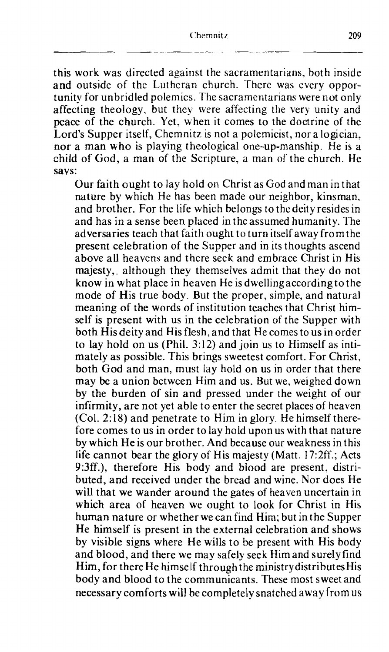this work was directed against the sacramentarians, both inside and outside of the Lutheran church. There was every opportunity for unbridled polemics. The sacramentarians were not only affecting theology, but they were affecting the very unity and peace of the church. Yet. when it comes to the doctrine of the Lord's Supper itself, Chemnitz is not a polemicist, nor a logician, nor a man who is playing theological one-up-manship. He is a child of God, a man of the Scripture, a man of the church. He says:

Our faith ought to lay hold on Christ as God and man in that nature by which He has been made our neighbor, kinsman, and brother. For the life which belongs to the deity resides in and has in a sense been placed in the assumed humanity. The adversaries teach that faith ought to turn itself away from the present celebration of the Supper and in its thoughts ascend above all heavens and there seek and embrace Christ in His majesty, although they themselves admit that they do not know in what place in heaven He is dwelling according to the mode of His true body. But the proper, simple, and natural meaning of the words of institution teaches that Christ himself is present with us in the celebration of the Supper with both Hisdeity and His flesh, and that He comes to us in order to lay hold on us (Phil. 3:12) and join us to Himself as intimately as possible. This brings sweetest comfort. For Christ, both God and man, must lay hold on us in order that there may be a union between Him and us. But we, weighed down by the burden of sin and pressed under the weight of our infirmity, are not yet able to enter the secret places of heaven (Col. 2: 18) and penetrate to Him in glory. He himself therefore comes to us in order to lay hold upon us with that nature by which He is our brother. And because our weakness in this life cannot bear the glory of His majesty (Matt. 17:2ff.; Acts 9:3ff.), therefore His body and blood are present. distributed, and received under the bread and wine. Nor does He will that we wander around the gates of heaven uncertain in which area of heaven we ought to look for Christ in His human nature or whether we can find Him; but in the Supper He himself is present in the external celebration and shows by visible signs where He wills to be present with His body and blood, and there we may safely seek Him and surely find Him, for there He himself through the ministry distributes His body and blood to the communicants, These most sweet and necessary comforts will be completely snatched away from **US**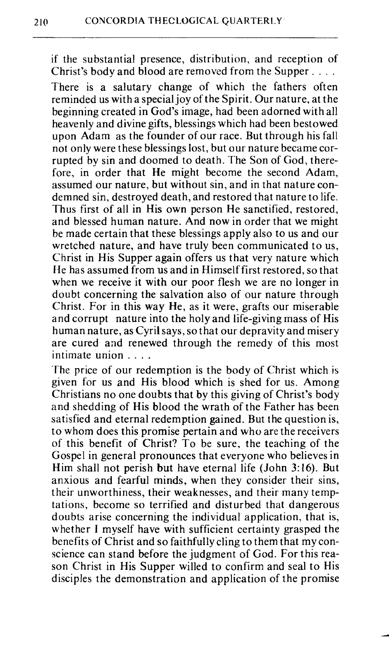if the substantial presence, distribution, and reception of Christ's body and blood are removed from the Supper....

There is a salutary change of which the fathers often reminded us with a special joy of the Spirit. Our nature, at the beginning created in God's image, had been adorned with all heavenly and divine gifts, blessings which had been bestowed upon Adam as the founder of our race. But through his fall not only were these blessings lost, but our nature became corrupted by sin and doomed to death. The Son of God, therefore, in order that He might become the second Adam, assumed our nature, but without sin, and in that nature condemned sin, destroyed death, and restored that nature to life. Thus first of all in His own person He sanctified, restored, and blessed human nature. And now in order that we might be made certain that these blessings apply also to us and our wretched nature, and have truly been communicated to us, Christ in His Supper again offers us that very nature which FIe has assumed from us and in Himself first restored, so that when we receive it with our poor flesh we are no longer in doubt concerning the salvation also of our nature through Christ. For in this way He, as it were, grafts our miserable and corrupt nature into the holy and life-giving mass of His human nature, as Cyril says, so that our depravity and misery are cured and renewed through the remedy of this most intimate union . . . .

The price of our redemption is the body of Christ which **is**  given for us and His blood which is shed for us. Among Christians no one doubts that by this giving of Christ's body and shedding of His blood the wrath of the Father has been satisfied and eternal redemption gained. But the question is, to whom does this promise pertain and who are the receivers of this benefit of Christ? To be sure, the teaching of the Gospel in general pronounces that everyone who believes in Him shall not perish but have eternal life (John **3:16).** But anxious and fearful minds, when they consider their sins, their unworthiness, their weaknesses, and their many temptations, become so terrified and disturbed that dangerous doubts arise concerning the individual application, that is, whether I myself have with sufficient certainty grasped the benefits of Christ and so faithfully cling to them that my conscience can stand before the judgment of God. For this reason Christ in His Supper willed to confirm and seal to His disciples the demonstration and application of the promise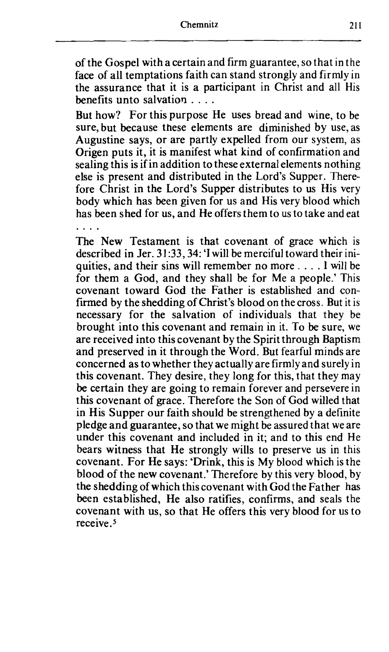of the Gospel with a certain and firm guarantee, so that in the face of all temptations faith can stand strongly and firmly in the assurance that it is a participant in Christ and all His benefits unto salvation  $\ldots$ .

But how? For this purpose He uses bread and wine, to be sure, but because these elements are diminished by use, as Augustine says, or are partly expelled from our system, as Origen puts it, it is manifest what kind of confirmation and sealing this is if in addition to these external elements nothing else is present and distributed in the Lord's Supper. Therefore Christ in the Lord's Supper distributes to us His very body which has been given for us and His very blood which has been shed for us, and He offers them to us to take and eat

The New Testament is that covenant of grace which is described in Jer. 31:33, 34: 'I will be merciful toward their iniquities, and their sins will remember no more . . . . I will be for them a God, and they shall be for Me a people.' This covenant toward God the Father is established and confirmed by the shedding of Christ's blood on the cross. But it is necessary for the salvation of individuals that they be brought into this covenant and remain in it. To be sure, we are received into this covenant by the Spirit through Baptism and preserved in it through the Word. But fearful minds are concerned as to whether they actually are firmly and surely in this covenant. They desire, they long for this, that they may be certain they are going to remain forever and persevere in this covenant of grace. Therefore the Son of God willed that in His Supper our faith should be strengthened by a definite pledge and guarantee, so that we might be assured that we are under this covenant and included in it; and to this end He bears witness that He strongly wills to preserve us in this covenant. For He says: 'Drink, this is My blood which is the blood of the new covenant.' Therefore by this very blood, by the shedding of which this covenant with God the Father has been established, He also ratifies, confirms, and seals the covenant with us, so that He offers this very blood for us to receive **.S**